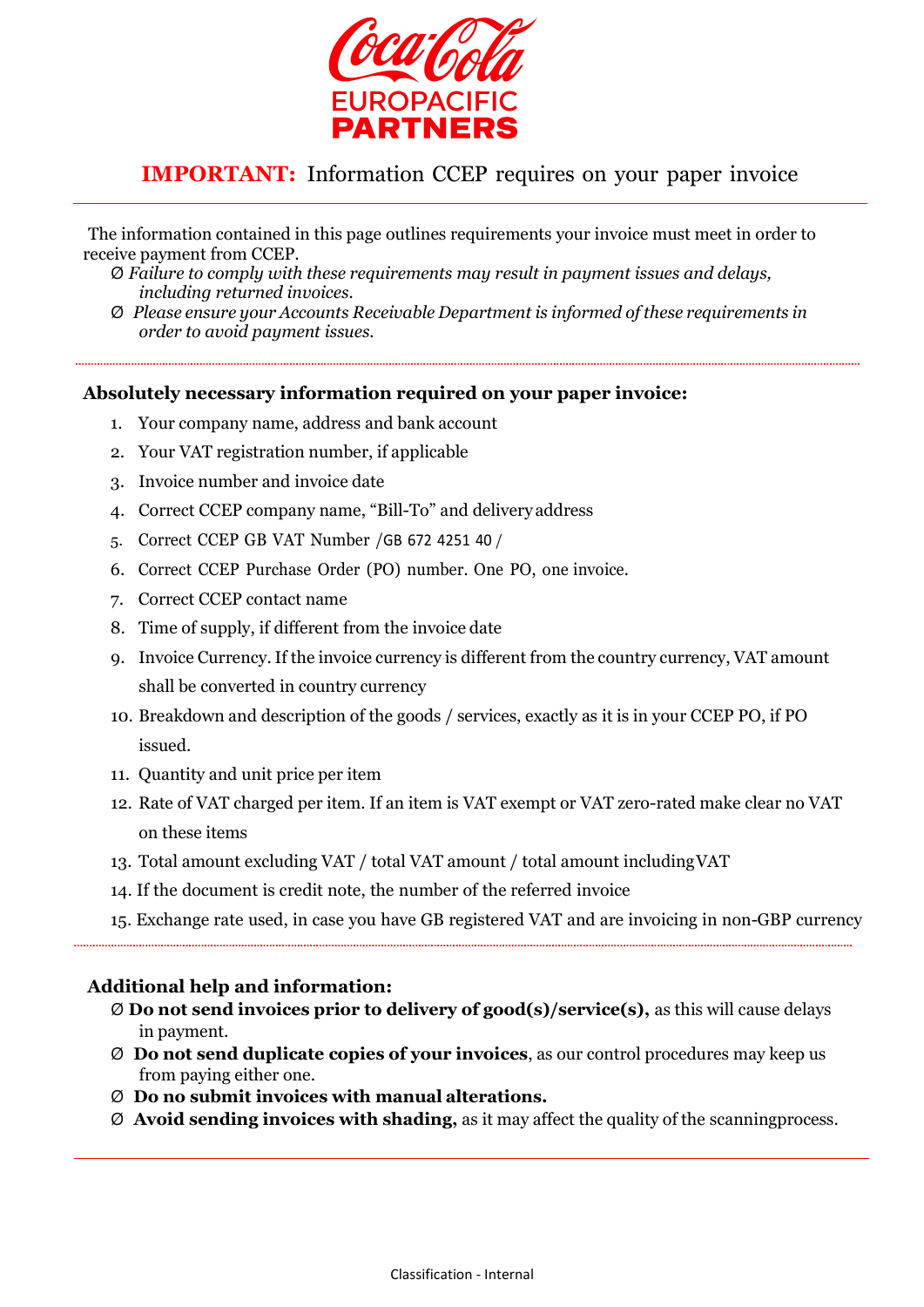

# IMPORTANT: Information CCEP requires on your paper invoice

The information contained in this page outlines requirements your invoice must meet in order to receive payment from CCEP.

- Ø Failure to comply with these requirements may result in payment issues and delays, including returned invoices.
- Ø Please ensure your Accounts Receivable Department is informed of these requirements in order to avoid payment issues.

### Absolutely necessary information required on your paper invoice:

- 1. Your company name, address and bank account
- 2. Your VAT registration number, if applicable
- 3. Invoice number and invoice date
- 4. Correct CCEP company name, "Bill-To" and delivery address
- 5. Correct CCEP GB VAT Number /GB 672 4251 40 /
- 6. Correct CCEP Purchase Order (PO) number. One PO, one invoice.
- 7. Correct CCEP contact name
- 8. Time of supply, if different from the invoice date
- 9. Invoice Currency. If the invoice currency is different from the country currency, VAT amount shall be converted in country currency
- 10. Breakdown and description of the goods / services, exactly as it is in your CCEP PO, if PO issued.
- 11. Quantity and unit price per item
- 12. Rate of VAT charged per item. If an item is VAT exempt or VAT zero-rated make clear no VAT on these items
- 13. Total amount excluding VAT / total VAT amount / total amount including VAT
- 14. If the document is credit note, the number of the referred invoice
- 15. Exchange rate used, in case you have GB registered VAT and are invoicing in non-GBP currency

### Additional help and information:

- $\emptyset$  Do not send invoices prior to delivery of good(s)/service(s), as this will cause delays in payment.
- $\varnothing$  Do not send duplicate copies of your invoices, as our control procedures may keep us from paying either one.
- Ø Do no submit invoices with manual alterations.
- $\varnothing$  Avoid sending invoices with shading, as it may affect the quality of the scanning process.